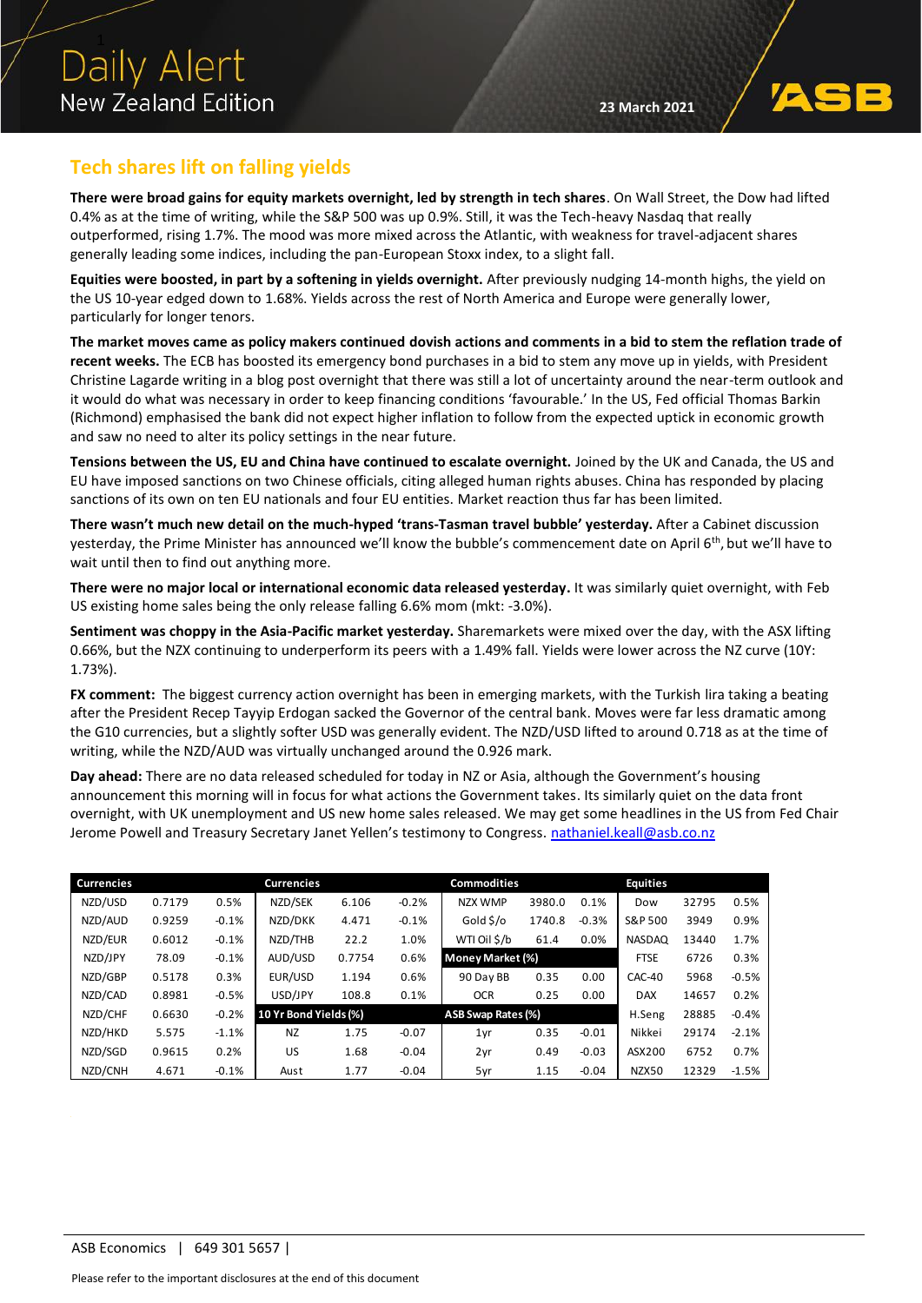

## **Tech shares lift on falling yields**

**There were broad gains for equity markets overnight, led by strength in tech shares**. On Wall Street, the Dow had lifted 0.4% as at the time of writing, while the S&P 500 was up 0.9%. Still, it was the Tech-heavy Nasdaq that really outperformed, rising 1.7%. The mood was more mixed across the Atlantic, with weakness for travel-adjacent shares generally leading some indices, including the pan-European Stoxx index, to a slight fall.

**Equities were boosted, in part by a softening in yields overnight.** After previously nudging 14-month highs, the yield on the US 10-year edged down to 1.68%. Yields across the rest of North America and Europe were generally lower, particularly for longer tenors.

**The market moves came as policy makers continued dovish actions and comments in a bid to stem the reflation trade of recent weeks.** The ECB has boosted its emergency bond purchases in a bid to stem any move up in yields, with President Christine Lagarde writing in a blog post overnight that there was still a lot of uncertainty around the near-term outlook and it would do what was necessary in order to keep financing conditions 'favourable.' In the US, Fed official Thomas Barkin (Richmond) emphasised the bank did not expect higher inflation to follow from the expected uptick in economic growth and saw no need to alter its policy settings in the near future.

**Tensions between the US, EU and China have continued to escalate overnight.** Joined by the UK and Canada, the US and EU have imposed sanctions on two Chinese officials, citing alleged human rights abuses. China has responded by placing sanctions of its own on ten EU nationals and four EU entities. Market reaction thus far has been limited.

**There wasn't much new detail on the much-hyped 'trans-Tasman travel bubble' yesterday.** After a Cabinet discussion yesterday, the Prime Minister has announced we'll know the bubble's commencement date on April 6<sup>th</sup>, but we'll have to wait until then to find out anything more.

**There were no major local or international economic data released yesterday.** It was similarly quiet overnight, with Feb US existing home sales being the only release falling 6.6% mom (mkt: -3.0%).

**Sentiment was choppy in the Asia-Pacific market yesterday.** Sharemarkets were mixed over the day, with the ASX lifting 0.66%, but the NZX continuing to underperform its peers with a 1.49% fall. Yields were lower across the NZ curve (10Y: 1.73%).

**FX comment:** The biggest currency action overnight has been in emerging markets, with the Turkish lira taking a beating after the President Recep Tayyip Erdogan sacked the Governor of the central bank. Moves were far less dramatic among the G10 currencies, but a slightly softer USD was generally evident. The NZD/USD lifted to around 0.718 as at the time of writing, while the NZD/AUD was virtually unchanged around the 0.926 mark.

**Day ahead:** There are no data released scheduled for today in NZ or Asia, although the Government's housing announcement this morning will in focus for what actions the Government takes. Its similarly quiet on the data front overnight, with UK unemployment and US new home sales released. We may get some headlines in the US from Fed Chair Jerome Powell and Treasury Secretary Janet Yellen's testimony to Congress. [nathaniel.keall@asb.co.nz](mailto:nathaniel.keall@asb.co.nz)

| <b>Currencies</b> |        |         | <b>Currencies</b>     |        |         | Commodities        |        |             | <b>Equities</b> |       |         |
|-------------------|--------|---------|-----------------------|--------|---------|--------------------|--------|-------------|-----------------|-------|---------|
| NZD/USD           | 0.7179 | 0.5%    | NZD/SEK               | 6.106  | $-0.2%$ | NZX WMP            | 3980.0 | 0.1%        | Dow             | 32795 | 0.5%    |
| NZD/AUD           | 0.9259 | $-0.1%$ | NZD/DKK               | 4.471  | $-0.1%$ | Gold \$/o          | 1740.8 | $-0.3%$     | S&P 500         | 3949  | 0.9%    |
| NZD/EUR           | 0.6012 | $-0.1%$ | NZD/THB               | 22.2   | 1.0%    | WTI Oil \$/b       | 61.4   | 0.0%        | <b>NASDAQ</b>   | 13440 | 1.7%    |
| NZD/JPY           | 78.09  | $-0.1%$ | AUD/USD               | 0.7754 | 0.6%    | Money Market (%)   |        | <b>FTSE</b> | 6726            | 0.3%  |         |
| NZD/GBP           | 0.5178 | 0.3%    | EUR/USD               | 1.194  | 0.6%    | 90 Day BB          | 0.35   | 0.00        | CAC-40          | 5968  | $-0.5%$ |
| NZD/CAD           | 0.8981 | $-0.5%$ | USD/JPY               | 108.8  | 0.1%    | <b>OCR</b>         | 0.25   | 0.00        | <b>DAX</b>      | 14657 | 0.2%    |
| NZD/CHF           | 0.6630 | $-0.2%$ | 10 Yr Bond Yields (%) |        |         | ASB Swap Rates (%) |        |             | H.Seng          | 28885 | $-0.4%$ |
| NZD/HKD           | 5.575  | $-1.1%$ | <b>NZ</b>             | 1.75   | $-0.07$ | 1yr                | 0.35   | $-0.01$     | Nikkei          | 29174 | $-2.1%$ |
| NZD/SGD           | 0.9615 | 0.2%    | <b>US</b>             | 1.68   | $-0.04$ | 2yr                | 0.49   | $-0.03$     | ASX200          | 6752  | 0.7%    |
| NZD/CNH           | 4.671  | $-0.1%$ | Aust                  | 1.77   | $-0.04$ | 5yr                | 1.15   | $-0.04$     | NZX50           | 12329 | $-1.5%$ |